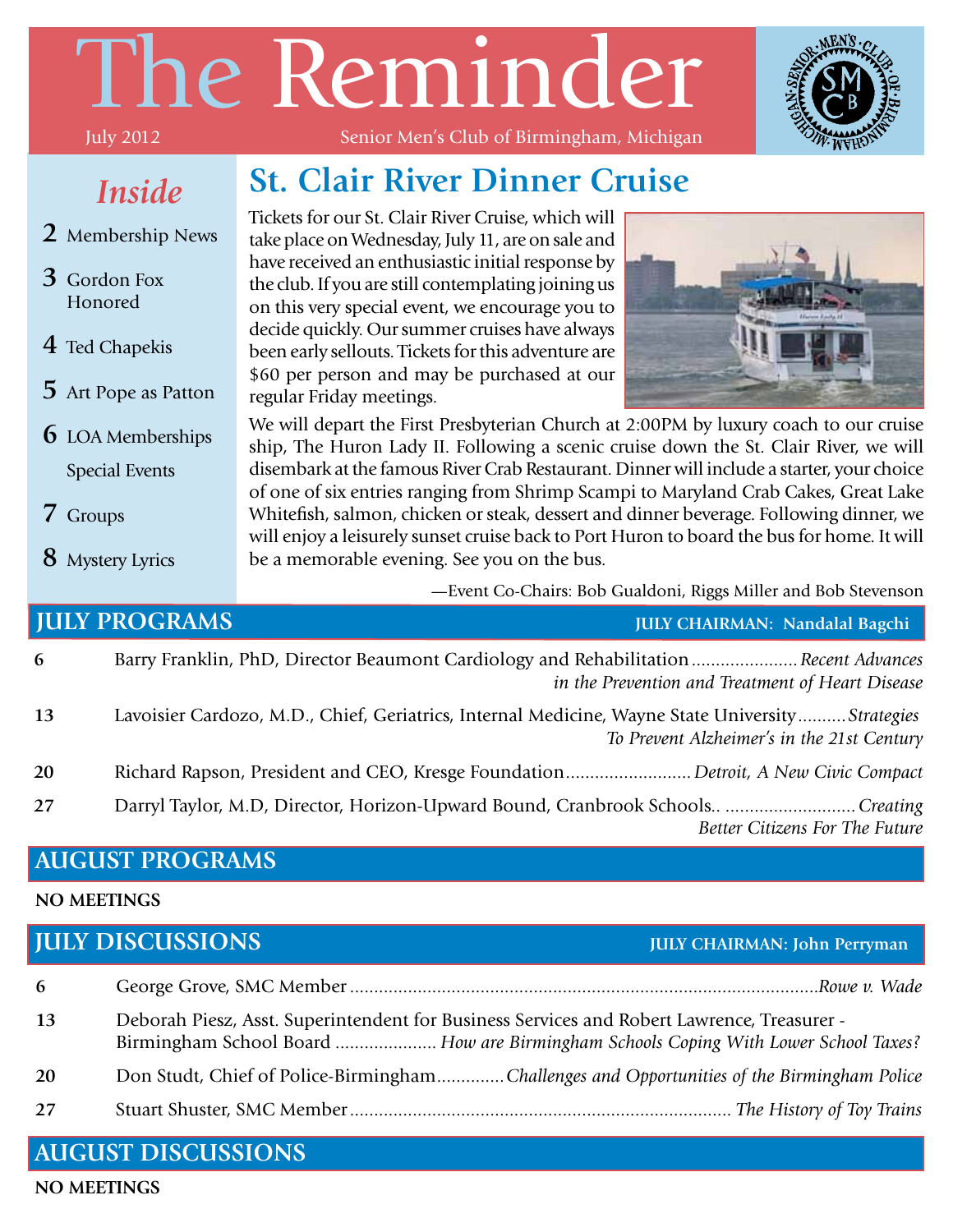# The Reminder



#### *Inside*

- **2** Membership News
- **3** Gordon Fox Honored
- **4** Ted Chapekis
- **5** Art Pope as Patton
- **6** LOA Memberships Special Events
- **7** Groups
- **8** Mystery Lyrics

#### Senior Men's Club of Birmingham, Michigan

#### **St. Clair River Dinner Cruise**

Tickets for our St. Clair River Cruise, which will take place on Wednesday, July 11, are on sale and have received an enthusiastic initial response by the club. If you are still contemplating joining us on this very special event, we encourage you to decide quickly. Our summer cruises have always been early sellouts. Tickets for this adventure are \$60 per person and may be purchased at our regular Friday meetings.



We will depart the First Presbyterian Church at 2:00PM by luxury coach to our cruise ship, The Huron Lady II. Following a scenic cruise down the St. Clair River, we will disembark at the famous River Crab Restaurant. Dinner will include a starter, your choice of one of six entries ranging from Shrimp Scampi to Maryland Crab Cakes, Great Lake Whitefish, salmon, chicken or steak, dessert and dinner beverage. Following dinner, we will enjoy a leisurely sunset cruise back to Port Huron to board the bus for home. It will be a memorable evening. See you on the bus.

—Event Co-Chairs: Bob Gualdoni, Riggs Miller and Bob Stevenson

#### **6** Barry Franklin, PhD, Director Beaumont Cardiology and Rehabilitation......................*Recent Advances in the Prevention and Treatment of Heart Disease* **13** Lavoisier Cardozo, M.D., Chief, Geriatrics, Internal Medicine, Wayne State University..........*Strategies To Prevent Alzheimer's in the 21st Century* **20** Richard Rapson, President and CEO, Kresge Foundation.......................... *Detroit, A New Civic Compact* **27** Darryl Taylor, M.D, Director, Horizon-Upward Bound, Cranbrook Schools.. ...........................*Creating Better Citizens For The Future* **JULY PROGRAMS JULY CHAIRMAN: Nandalal Bagchi**

#### **AUGUST PROGRAMS**

#### **NO MEETINGS**

#### **JULY DISCUSSIONS JULY CHAIRMAN: John Perryman**

| 6  |                                                                                                                                                                                   |
|----|-----------------------------------------------------------------------------------------------------------------------------------------------------------------------------------|
| 13 | Deborah Piesz, Asst. Superintendent for Business Services and Robert Lawrence, Treasurer -<br>Birmingham School Board  How are Birmingham Schools Coping With Lower School Taxes? |
| 20 | Don Studt, Chief of Police-BirminghamChallenges and Opportunities of the Birmingham Police                                                                                        |
| 27 |                                                                                                                                                                                   |

#### **AUGUST DISCUSSIONS**

**NO MEETINGS**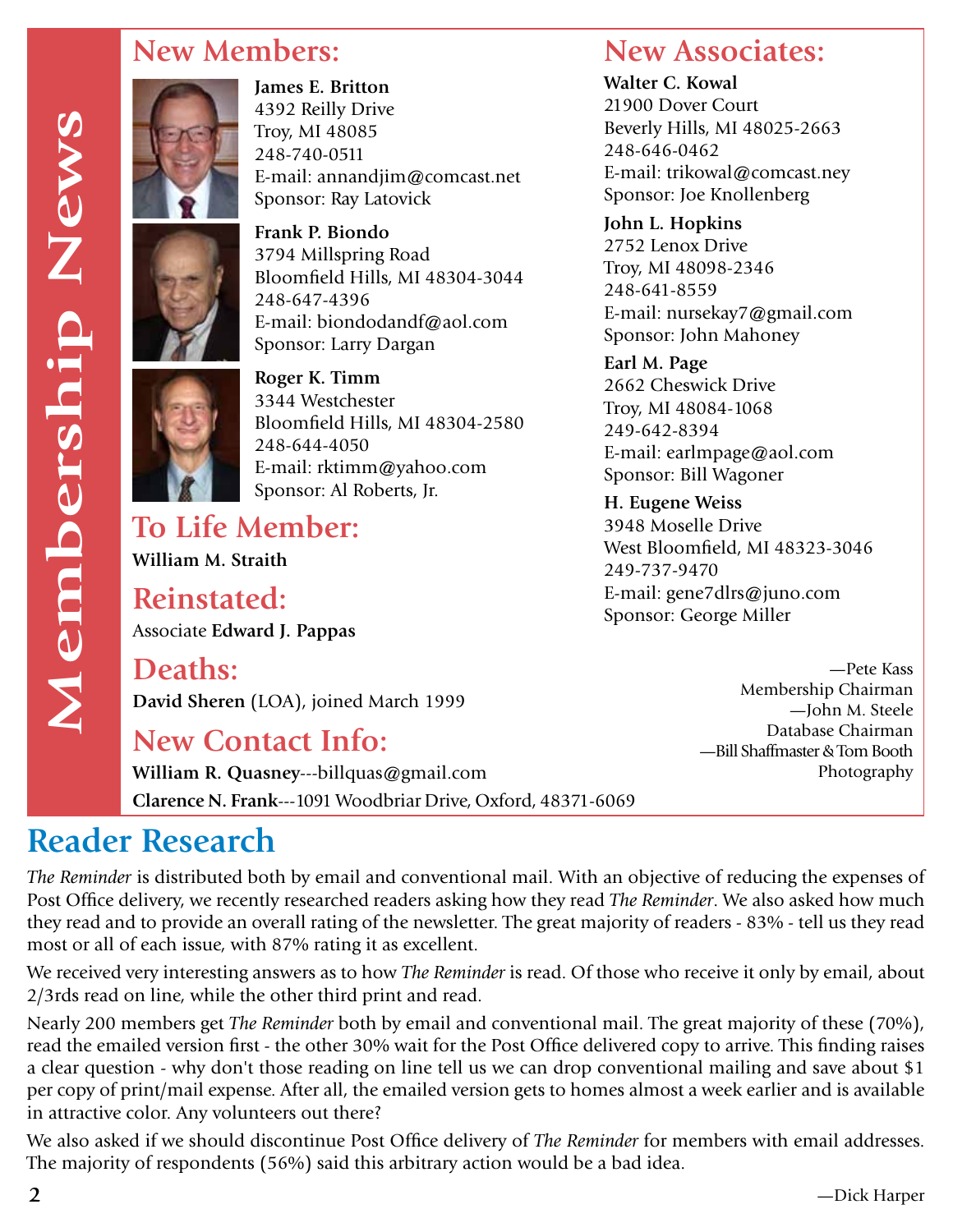#### **New Members:**



**James E. Britton** 4392 Reilly Drive Troy, MI 48085 248-740-0511 E-mail: annandjim@comcast.net Sponsor: Ray Latovick

**Frank P. Biondo** 3794 Millspring Road Bloomfield Hills, MI 48304-3044 248-647-4396 E-mail: biondodandf@aol.com Sponsor: Larry Dargan



**Roger K. Timm** 3344 Westchester Bloomfield Hills, MI 48304-2580 248-644-4050 E-mail: rktimm@yahoo.com Sponsor: Al Roberts, Jr.

**To Life Member: William M. Straith**

**Reinstated:** Associate **Edward J. Pappas**

**Deaths:**

**David Sheren** (LOA), joined March 1999

#### **New Contact Info:**

**William R. Quasney**---billquas@gmail.com **Clarence N. Frank**---1091 Woodbriar Drive, Oxford, 48371-6069

#### **Reader Research**

*The Reminder* is distributed both by email and conventional mail. With an objective of reducing the expenses of Post Office delivery, we recently researched readers asking how they read *The Reminder*. We also asked how much they read and to provide an overall rating of the newsletter. The great majority of readers - 83% - tell us they read most or all of each issue, with 87% rating it as excellent.

We received very interesting answers as to how *The Reminder* is read. Of those who receive it only by email, about 2/3rds read on line, while the other third print and read.

Nearly 200 members get *The Reminder* both by email and conventional mail. The great majority of these (70%), read the emailed version first - the other 30% wait for the Post Office delivered copy to arrive. This finding raises a clear question - why don't those reading on line tell us we can drop conventional mailing and save about \$1 per copy of print/mail expense. After all, the emailed version gets to homes almost a week earlier and is available in attractive color. Any volunteers out there?

We also asked if we should discontinue Post Office delivery of *The Reminder* for members with email addresses. The majority of respondents (56%) said this arbitrary action would be a bad idea.

#### **New Associates:**

**Walter C. Kowal** 21900 Dover Court Beverly Hills, MI 48025-2663 248-646-0462 E-mail: trikowal@comcast.ney Sponsor: Joe Knollenberg

**John L. Hopkins** 2752 Lenox Drive Troy, MI 48098-2346 248-641-8559 E-mail: nursekay7@gmail.com Sponsor: John Mahoney

**Earl M. Page** 2662 Cheswick Drive Troy, MI 48084-1068 249-642-8394 E-mail: earlmpage@aol.com Sponsor: Bill Wagoner

**H. Eugene Weiss** 3948 Moselle Drive West Bloomfield, MI 48323-3046 249-737-9470 E-mail: gene7dlrs@juno.com Sponsor: George Miller

> —Pete Kass Membership Chairman —John M. Steele Database Chairman —Bill Shaffmaster & Tom Booth Photography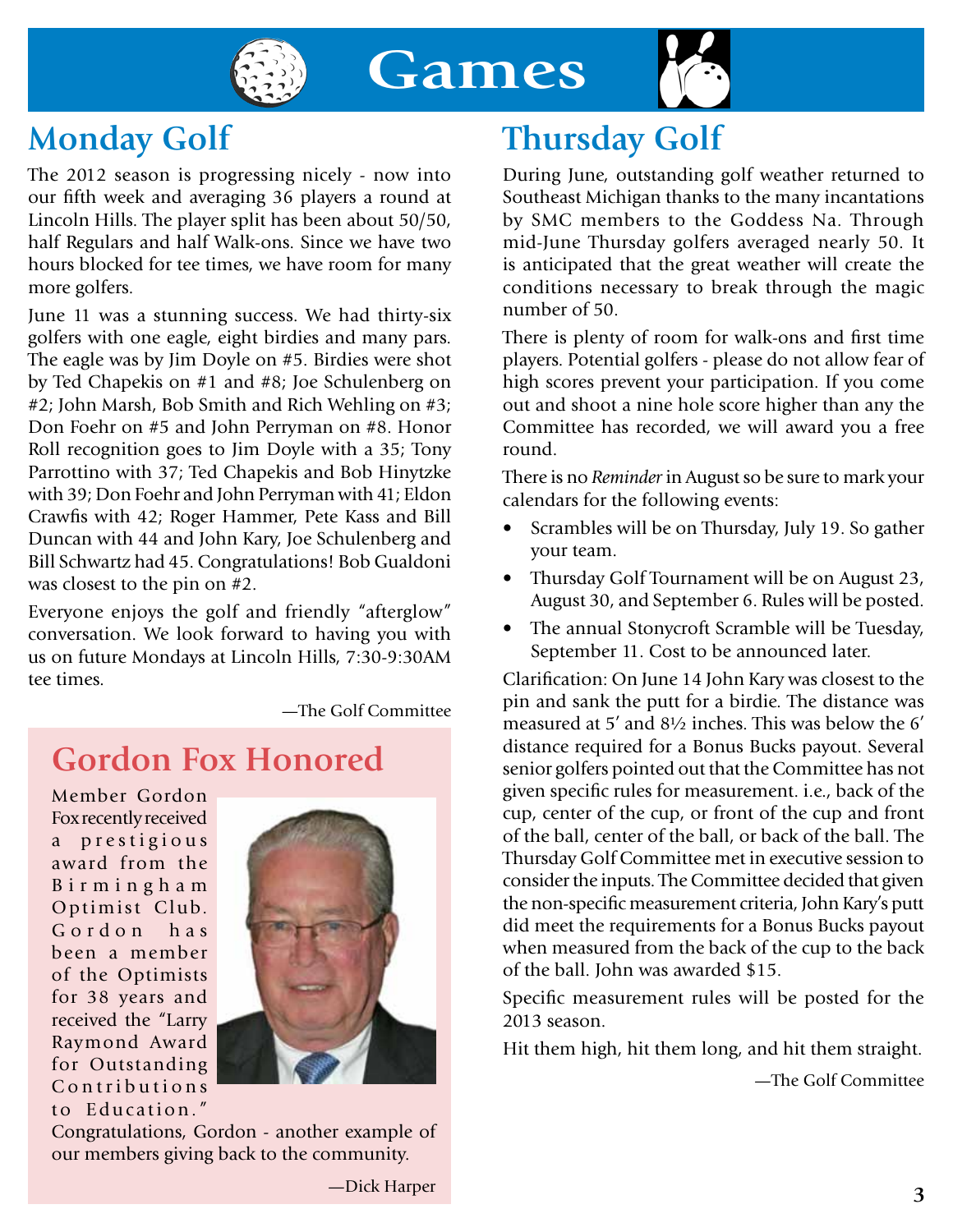



#### **Monday Golf**

The 2012 season is progressing nicely - now into our fifth week and averaging 36 players a round at Lincoln Hills. The player split has been about 50/50, half Regulars and half Walk-ons. Since we have two hours blocked for tee times, we have room for many more golfers.

June 11 was a stunning success. We had thirty-six golfers with one eagle, eight birdies and many pars. The eagle was by Jim Doyle on #5. Birdies were shot by Ted Chapekis on #1 and #8; Joe Schulenberg on #2; John Marsh, Bob Smith and Rich Wehling on #3; Don Foehr on #5 and John Perryman on #8. Honor Roll recognition goes to Jim Doyle with a 35; Tony Parrottino with 37; Ted Chapekis and Bob Hinytzke with 39; Don Foehr and John Perryman with 41; Eldon Crawfis with 42; Roger Hammer, Pete Kass and Bill Duncan with 44 and John Kary, Joe Schulenberg and Bill Schwartz had 45. Congratulations! Bob Gualdoni was closest to the pin on #2.

Everyone enjoys the golf and friendly "afterglow" conversation. We look forward to having you with us on future Mondays at Lincoln Hills, 7:30-9:30AM tee times.

—The Golf Committee

# **Gordon Fox Honored**

Member Gordon Fox recently received a prestigious award from the B i r m i n g h a m Optimist Club. Gordon has been a member of the Optimists for 38 years and received the "Larry Raymond Award for Outstanding Contributions to Education."



Congratulations, Gordon - another example of our members giving back to the community.

# **Thursday Golf**

During June, outstanding golf weather returned to Southeast Michigan thanks to the many incantations by SMC members to the Goddess Na. Through mid-June Thursday golfers averaged nearly 50. It is anticipated that the great weather will create the conditions necessary to break through the magic number of 50.

There is plenty of room for walk-ons and first time players. Potential golfers - please do not allow fear of high scores prevent your participation. If you come out and shoot a nine hole score higher than any the Committee has recorded, we will award you a free round.

There is no *Reminder* in August so be sure to mark your calendars for the following events:

- Scrambles will be on Thursday, July 19. So gather your team.
- Thursday Golf Tournament will be on August 23, August 30, and September 6. Rules will be posted.
- The annual Stonycroft Scramble will be Tuesday, September 11. Cost to be announced later.

Clarification: On June 14 John Kary was closest to the pin and sank the putt for a birdie. The distance was measured at 5' and 8½ inches. This was below the 6' distance required for a Bonus Bucks payout. Several senior golfers pointed out that the Committee has not given specific rules for measurement. i.e., back of the cup, center of the cup, or front of the cup and front of the ball, center of the ball, or back of the ball. The Thursday Golf Committee met in executive session to consider the inputs. The Committee decided that given the non-specific measurement criteria, John Kary's putt did meet the requirements for a Bonus Bucks payout when measured from the back of the cup to the back of the ball. John was awarded \$15.

Specific measurement rules will be posted for the 2013 season.

Hit them high, hit them long, and hit them straight.

—The Golf Committee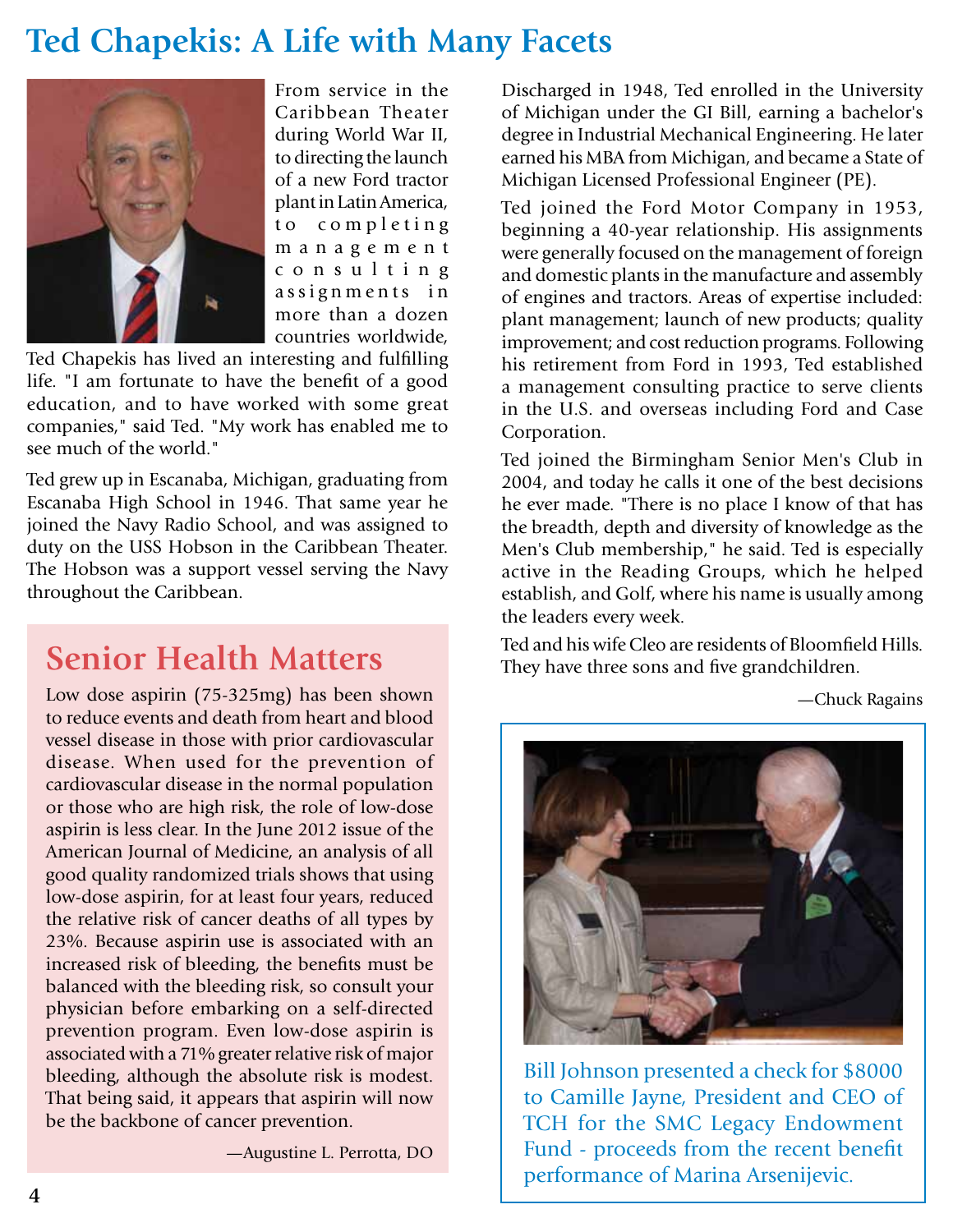#### **Ted Chapekis: A Life with Many Facets**



From service in the Caribbean Theater during World War II, to directing the launch of a new Ford tractor plant in Latin America, to completing m a n a g e m e n t c o n s u l t i n g assignments in more than a dozen countries worldwide,

Ted Chapekis has lived an interesting and fulfilling life. "I am fortunate to have the benefit of a good education, and to have worked with some great companies," said Ted. "My work has enabled me to see much of the world."

Ted grew up in Escanaba, Michigan, graduating from Escanaba High School in 1946. That same year he joined the Navy Radio School, and was assigned to duty on the USS Hobson in the Caribbean Theater. The Hobson was a support vessel serving the Navy throughout the Caribbean.

#### **Senior Health Matters**

Low dose aspirin (75-325mg) has been shown to reduce events and death from heart and blood vessel disease in those with prior cardiovascular disease. When used for the prevention of cardiovascular disease in the normal population or those who are high risk, the role of low-dose aspirin is less clear. In the June 2012 issue of the American Journal of Medicine, an analysis of all good quality randomized trials shows that using low-dose aspirin, for at least four years, reduced the relative risk of cancer deaths of all types by 23%. Because aspirin use is associated with an increased risk of bleeding, the benefits must be balanced with the bleeding risk, so consult your physician before embarking on a self-directed prevention program. Even low-dose aspirin is associated with a 71% greater relative risk of major bleeding, although the absolute risk is modest. That being said, it appears that aspirin will now be the backbone of cancer prevention.

—Augustine L. Perrotta, DO

Discharged in 1948, Ted enrolled in the University of Michigan under the GI Bill, earning a bachelor's degree in Industrial Mechanical Engineering. He later earned his MBA from Michigan, and became a State of Michigan Licensed Professional Engineer (PE).

Ted joined the Ford Motor Company in 1953, beginning a 40-year relationship. His assignments were generally focused on the management of foreign and domestic plants in the manufacture and assembly of engines and tractors. Areas of expertise included: plant management; launch of new products; quality improvement; and cost reduction programs. Following his retirement from Ford in 1993, Ted established a management consulting practice to serve clients in the U.S. and overseas including Ford and Case Corporation.

Ted joined the Birmingham Senior Men's Club in 2004, and today he calls it one of the best decisions he ever made. "There is no place I know of that has the breadth, depth and diversity of knowledge as the Men's Club membership," he said. Ted is especially active in the Reading Groups, which he helped establish, and Golf, where his name is usually among the leaders every week.

Ted and his wife Cleo are residents of Bloomfield Hills. They have three sons and five grandchildren.

—Chuck Ragains



Bill Johnson presented a check for \$8000 to Camille Jayne, President and CEO of TCH for the SMC Legacy Endowment Fund - proceeds from the recent benefit performance of Marina Arsenijevic.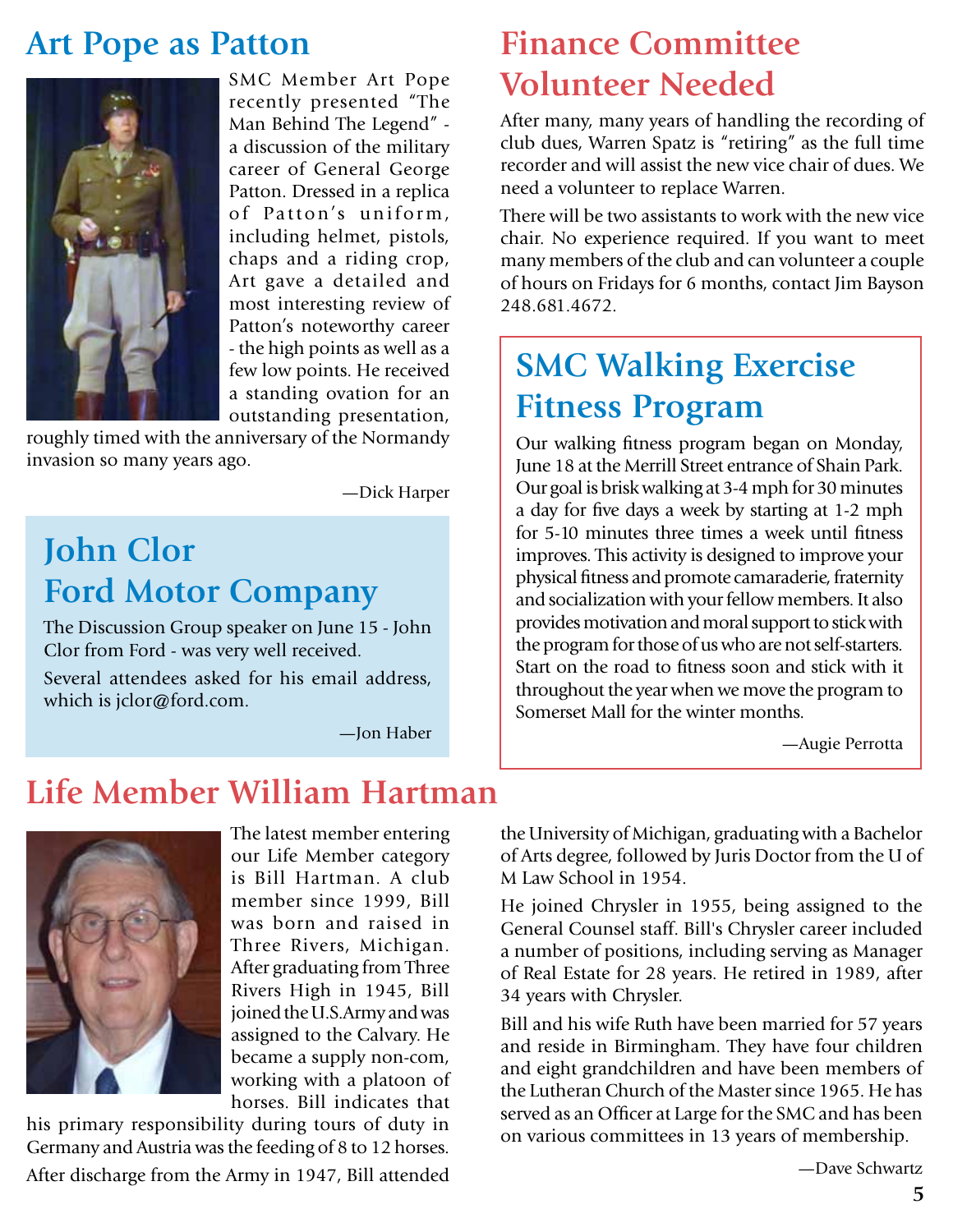#### **Art Pope as Patton**



SMC Member Art Pope recently presented "The Man Behind The Legend" a discussion of the military career of General George Patton. Dressed in a replica of Patton's uniform, including helmet, pistols, chaps and a riding crop, Art gave a detailed and most interesting review of Patton's noteworthy career - the high points as well as a few low points. He received a standing ovation for an outstanding presentation,

roughly timed with the anniversary of the Normandy invasion so many years ago.

—Dick Harper

#### **John Clor Ford Motor Company**

The Discussion Group speaker on June 15 - John Clor from Ford - was very well received.

Several attendees asked for his email address, which is jclor@ford.com.

—Jon Haber

#### **Finance Committee Volunteer Needed**

After many, many years of handling the recording of club dues, Warren Spatz is "retiring" as the full time recorder and will assist the new vice chair of dues. We need a volunteer to replace Warren.

There will be two assistants to work with the new vice chair. No experience required. If you want to meet many members of the club and can volunteer a couple of hours on Fridays for 6 months, contact Jim Bayson 248.681.4672.

#### **SMC Walking Exercise Fitness Program**

Our walking fitness program began on Monday, June 18 at the Merrill Street entrance of Shain Park. Our goal is brisk walking at 3-4 mph for 30 minutes a day for five days a week by starting at 1-2 mph for 5-10 minutes three times a week until fitness improves. This activity is designed to improve your physical fitness and promote camaraderie, fraternity and socialization with your fellow members. It also provides motivation and moral support to stick with the program for those of us who are not self-starters. Start on the road to fitness soon and stick with it throughout the year when we move the program to Somerset Mall for the winter months.

—Augie Perrotta

#### **Life Member William Hartman**



The latest member entering our Life Member category is Bill Hartman. A club member since 1999, Bill was born and raised in Three Rivers, Michigan. After graduating from Three Rivers High in 1945, Bill joined the U.S.Army and was assigned to the Calvary. He became a supply non-com, working with a platoon of horses. Bill indicates that

his primary responsibility during tours of duty in Germany and Austria was the feeding of 8 to 12 horses. After discharge from the Army in 1947, Bill attended

the University of Michigan, graduating with a Bachelor of Arts degree, followed by Juris Doctor from the U of M Law School in 1954.

He joined Chrysler in 1955, being assigned to the General Counsel staff. Bill's Chrysler career included a number of positions, including serving as Manager of Real Estate for 28 years. He retired in 1989, after 34 years with Chrysler.

Bill and his wife Ruth have been married for 57 years and reside in Birmingham. They have four children and eight grandchildren and have been members of the Lutheran Church of the Master since 1965. He has served as an Officer at Large for the SMC and has been on various committees in 13 years of membership.

—Dave Schwartz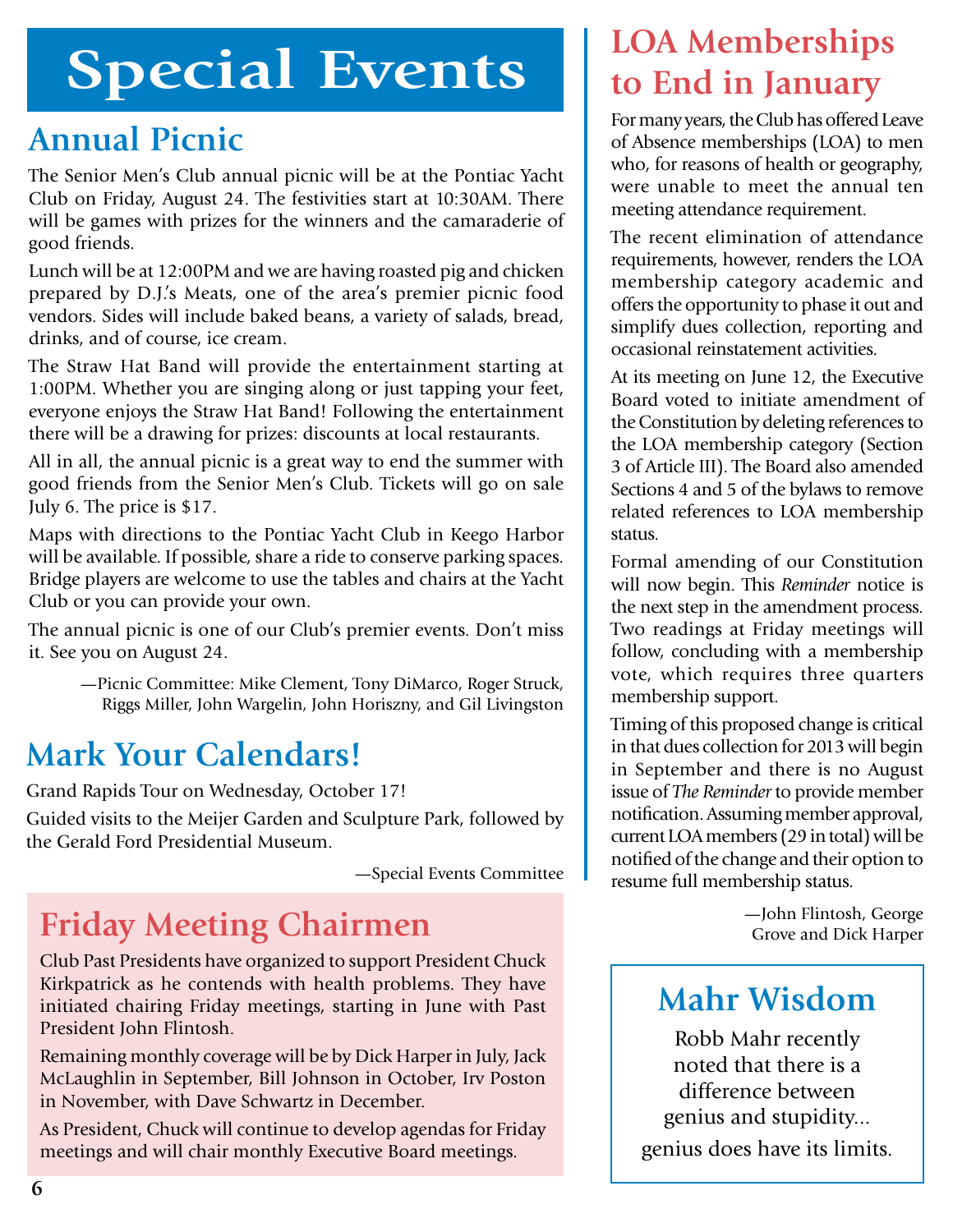# **Special Events**

### **Annual Picnic**

The Senior Men's Club annual picnic will be at the Pontiac Yacht Club on Friday, August 24. The festivities start at 10:30AM. There will be games with prizes for the winners and the camaraderie of good friends.

Lunch will be at 12:00PM and we are having roasted pig and chicken prepared by D.J.'s Meats, one of the area's premier picnic food vendors. Sides will include baked beans, a variety of salads, bread, drinks, and of course, ice cream.

The Straw Hat Band will provide the entertainment starting at 1:00PM. Whether you are singing along or just tapping your feet, everyone enjoys the Straw Hat Band! Following the entertainment there will be a drawing for prizes: discounts at local restaurants.

All in all, the annual picnic is a great way to end the summer with good friends from the Senior Men's Club. Tickets will go on sale July 6. The price is \$17.

Maps with directions to the Pontiac Yacht Club in Keego Harbor will be available. If possible, share a ride to conserve parking spaces. Bridge players are welcome to use the tables and chairs at the Yacht Club or you can provide your own.

The annual picnic is one of our Club's premier events. Don't miss it. See you on August 24.

—Picnic Committee: Mike Clement, Tony DiMarco, Roger Struck, Riggs Miller, John Wargelin, John Horiszny, and Gil Livingston

# **Mark Your Calendars!**

Grand Rapids Tour on Wednesday, October 17!

Guided visits to the Meijer Garden and Sculpture Park, followed by the Gerald Ford Presidential Museum.

—Special Events Committee

# **Friday Meeting Chairmen**  $\frac{\text{5}^{\text{5}}}{\text{5}}$  Tohn Flintosh, George

Club Past Presidents have organized to support President Chuck Kirkpatrick as he contends with health problems. They have initiated chairing Friday meetings, starting in June with Past President John Flintosh.

Remaining monthly coverage will be by Dick Harper in July, Jack McLaughlin in September, Bill Johnson in October, Irv Poston in November, with Dave Schwartz in December.

As President, Chuck will continue to develop agendas for Friday meetings and will chair monthly Executive Board meetings.

#### **LOA Memberships to End in January**

For many years, the Club has offered Leave of Absence memberships (LOA) to men who, for reasons of health or geography, were unable to meet the annual ten meeting attendance requirement.

The recent elimination of attendance requirements, however, renders the LOA membership category academic and offers the opportunity to phase it out and simplify dues collection, reporting and occasional reinstatement activities.

At its meeting on June 12, the Executive Board voted to initiate amendment of the Constitution by deleting references to the LOA membership category (Section 3 of Article III). The Board also amended Sections 4 and 5 of the bylaws to remove related references to LOA membership status.

Formal amending of our Constitution will now begin. This *Reminder* notice is the next step in the amendment process. Two readings at Friday meetings will follow, concluding with a membership vote, which requires three quarters membership support.

Timing of this proposed change is critical in that dues collection for 2013 will begin in September and there is no August issue of *The Reminder* to provide member notification. Assuming member approval, current LOA members (29 in total) will be notified of the change and their option to resume full membership status.

#### **Mahr Wisdom**

Robb Mahr recently noted that there is a difference between genius and stupidity... genius does have its limits.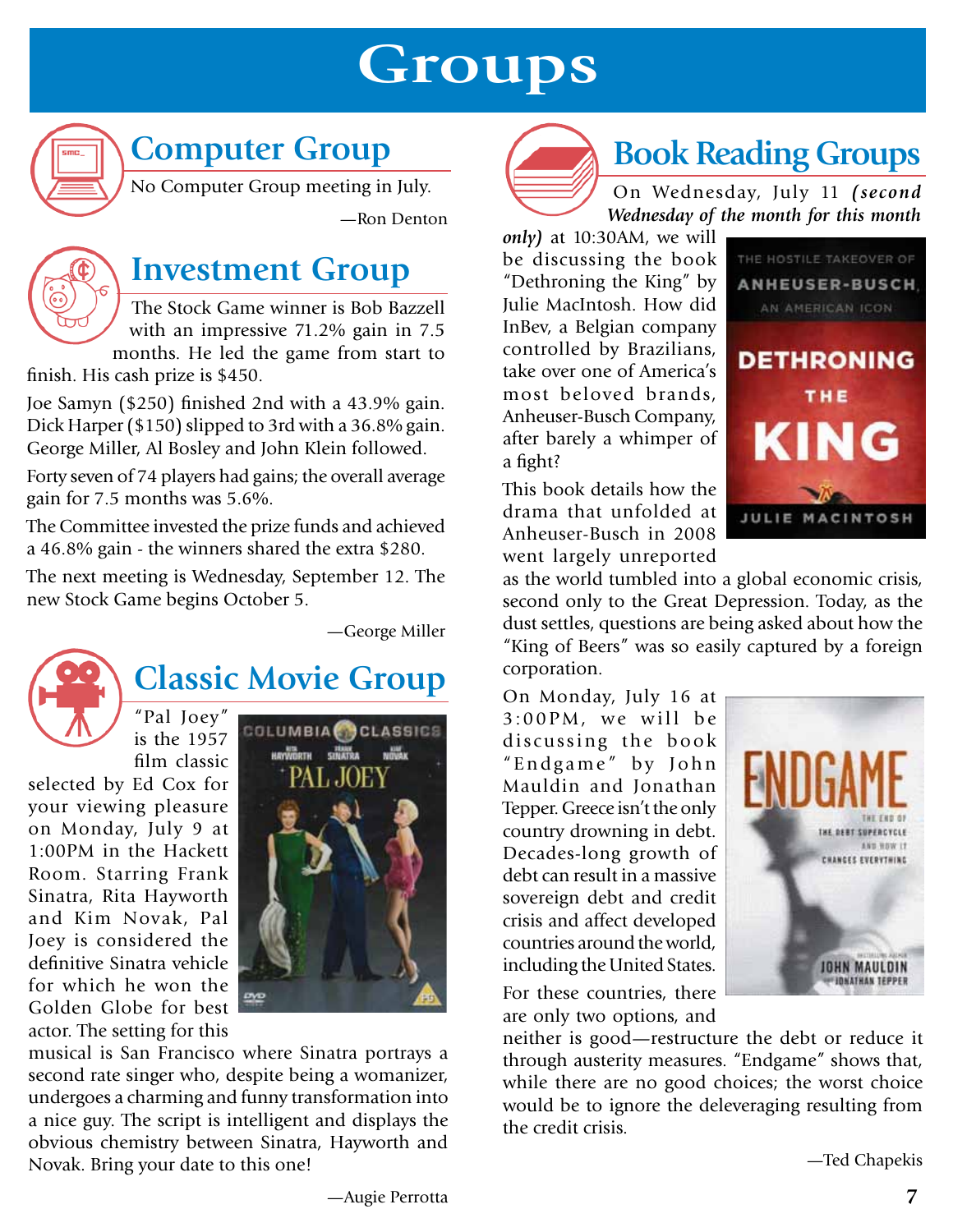# **Groups**



# **Computer Group**

No Computer Group meeting in July.

—Ron Denton



#### **Investment Group**

The Stock Game winner is Bob Bazzell with an impressive 71.2% gain in 7.5 months. He led the game from start to

finish. His cash prize is \$450.

Joe Samyn (\$250) finished 2nd with a 43.9% gain. Dick Harper (\$150) slipped to 3rd with a 36.8% gain. George Miller, Al Bosley and John Klein followed.

Forty seven of 74 players had gains; the overall average gain for 7.5 months was 5.6%.

The Committee invested the prize funds and achieved a 46.8% gain - the winners shared the extra \$280.

The next meeting is Wednesday, September 12. The new Stock Game begins October 5.

—George Miller



# **Classic Movie Group**

"Pal Joey" is the 1957 film classic

selected by Ed Cox for your viewing pleasure on Monday, July 9 at 1:00PM in the Hackett Room. Starring Frank Sinatra, Rita Hayworth and Kim Novak, Pal Joey is considered the definitive Sinatra vehicle for which he won the Golden Globe for best actor. The setting for this



musical is San Francisco where Sinatra portrays a second rate singer who, despite being a womanizer, undergoes a charming and funny transformation into a nice guy. The script is intelligent and displays the obvious chemistry between Sinatra, Hayworth and Novak. Bring your date to this one!



# **Book Reading Groups**

On Wednesday, July 11 *(second Wednesday of the month for this month* 

*only)* at 10:30AM, we will be discussing the book "Dethroning the King" by Julie MacIntosh. How did InBev, a Belgian company controlled by Brazilians, take over one of America's most beloved brands, Anheuser-Busch Company, after barely a whimper of a fight?

This book details how the drama that unfolded at Anheuser-Busch in 2008 went largely unreported



as the world tumbled into a global economic crisis, second only to the Great Depression. Today, as the dust settles, questions are being asked about how the "King of Beers" was so easily captured by a foreign corporation.

On Monday, July 16 at  $3:00$ PM, we will be discussing the book "Endgame" by John Mauldin and Jonathan Tepper. Greece isn't the only country drowning in debt. Decades-long growth of debt can result in a massive sovereign debt and credit crisis and affect developed countries around the world, including the United States. For these countries, there are only two options, and



neither is good—restructure the debt or reduce it through austerity measures. "Endgame" shows that, while there are no good choices; the worst choice would be to ignore the deleveraging resulting from the credit crisis.

—Ted Chapekis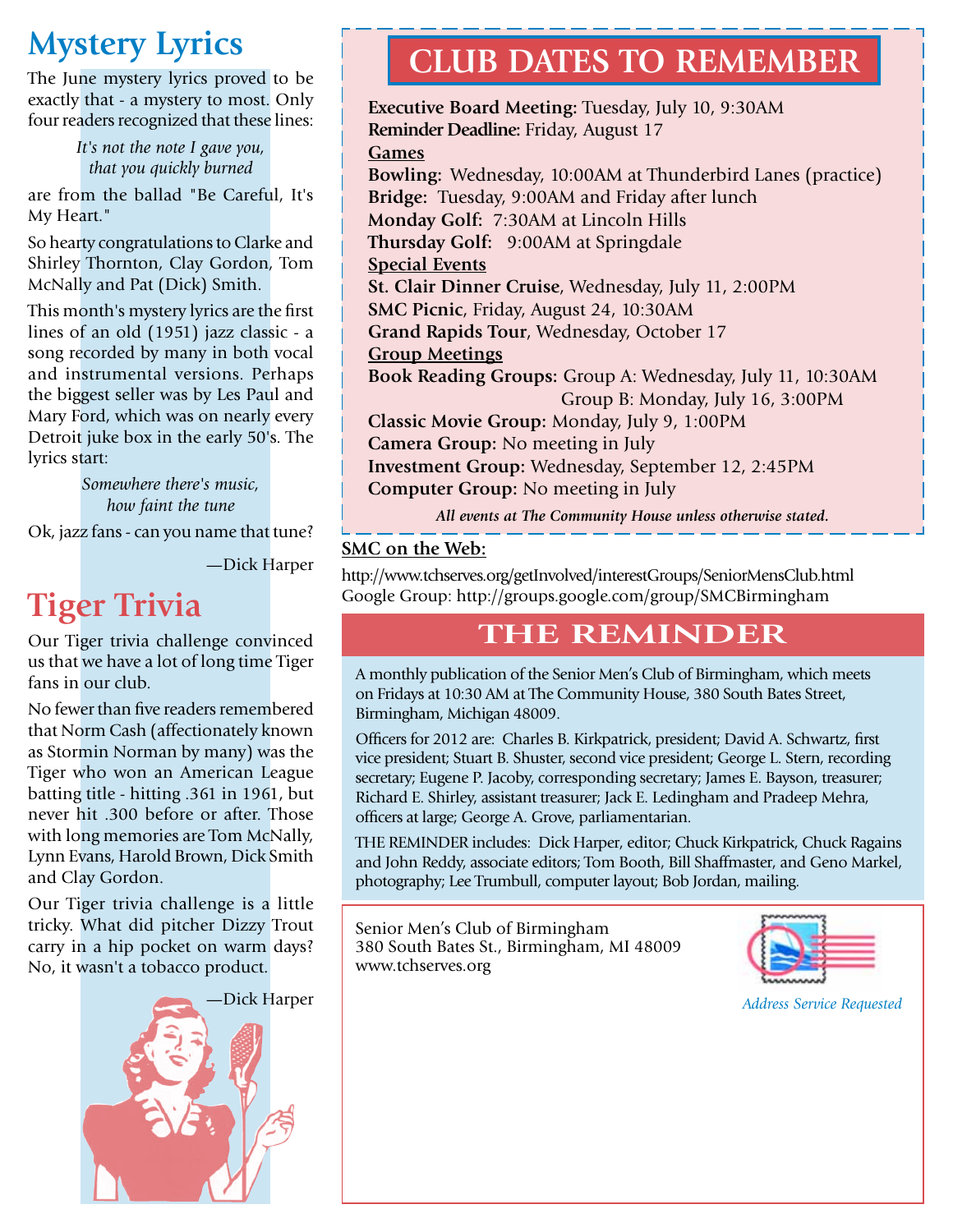### **Mystery Lyrics**

The June mystery lyrics proved to be exactly that - a mystery to most. Only four readers recognized that these lines:

> *It's not the note I gave you, that you quickly burned*

are from the ballad "Be Careful, It's My Heart."

So hearty congratulations to Clarke and Shirley Thornton, Clay Gordon, Tom McNally and Pat (Dick) Smith.

This month's mystery lyrics are the first lines of an old (1951) jazz classic - a song recorded by many in both vocal and instrumental versions. Perhaps the biggest seller was by Les Paul and Mary Ford, which was on nearly every Detroit juke box in the early 50's. The lyrics start:

> *Somewhere there's music, how faint the tune*

Ok, jazz fans - can you name that tune?

—Dick Harper

# **Tiger Trivia**

Our Tiger trivia challenge convinced us that we have a lot of long time Tiger fans in our club.

No fewer than five readers remembered that Norm Cash (affectionately known as Stormin Norman by many) was the Tiger who won an American League batting title - hitting .361 in 1961, but never hit .300 before or after. Those with long memories are Tom McNally, Lynn Evans, Harold Brown, Dick Smith and Clay Gordon.

Our Tiger trivia challenge is a little tricky. What did pitcher Dizzy Trout carry in a hip pocket on warm days? No, it wasn't a tobacco product.



### **Club Dates to Remember**

**Executive Board Meeting:** Tuesday, July 10, 9:30AM **Reminder Deadline:** Friday, August 17 **Games Bowling:** Wednesday, 10:00AM at Thunderbird Lanes (practice) **Bridge:** Tuesday, 9:00AM and Friday after lunch **Monday Golf:** 7:30AM at Lincoln Hills **Thursday Golf:** 9:00AM at Springdale **Special Events St. Clair Dinner Cruise**, Wednesday, July 11, 2:00PM **SMC Picnic**, Friday, August 24, 10:30AM **Grand Rapids Tour**, Wednesday, October 17 **Group Meetings Book Reading Groups:** Group A: Wednesday, July 11, 10:30AM Group B: Monday, July 16, 3:00PM **Classic Movie Group:** Monday, July 9, 1:00PM **Camera Group:** No meeting in July **Investment Group:** Wednesday, September 12, 2:45PM **Computer Group:** No meeting in July

*All events at The Community House unless otherwise stated.*

#### **SMC on the Web:**

http://www.tchserves.org/getInvolved/interestGroups/SeniorMensClub.html Google Group: http://groups.google.com/group/SMCBirmingham

#### **THE REMINDER**

A monthly publication of the Senior Men's Club of Birmingham, which meets on Fridays at 10:30 AM at The Community House, 380 South Bates Street, Birmingham, Michigan 48009.

Officers for 2012 are: Charles B. Kirkpatrick, president; David A. Schwartz, first vice president; Stuart B. Shuster, second vice president; George L. Stern, recording secretary; Eugene P. Jacoby, corresponding secretary; James E. Bayson, treasurer; Richard E. Shirley, assistant treasurer; Jack E. Ledingham and Pradeep Mehra, officers at large; George A. Grove, parliamentarian.

THE REMINDER includes: Dick Harper, editor; Chuck Kirkpatrick, Chuck Ragains and John Reddy, associate editors; Tom Booth, Bill Shaffmaster, and Geno Markel, photography; Lee Trumbull, computer layout; Bob Jordan, mailing.

Senior Men's Club of Birmingham 380 South Bates St., Birmingham, MI 48009 www.tchserves.org



*Address Service Requested*